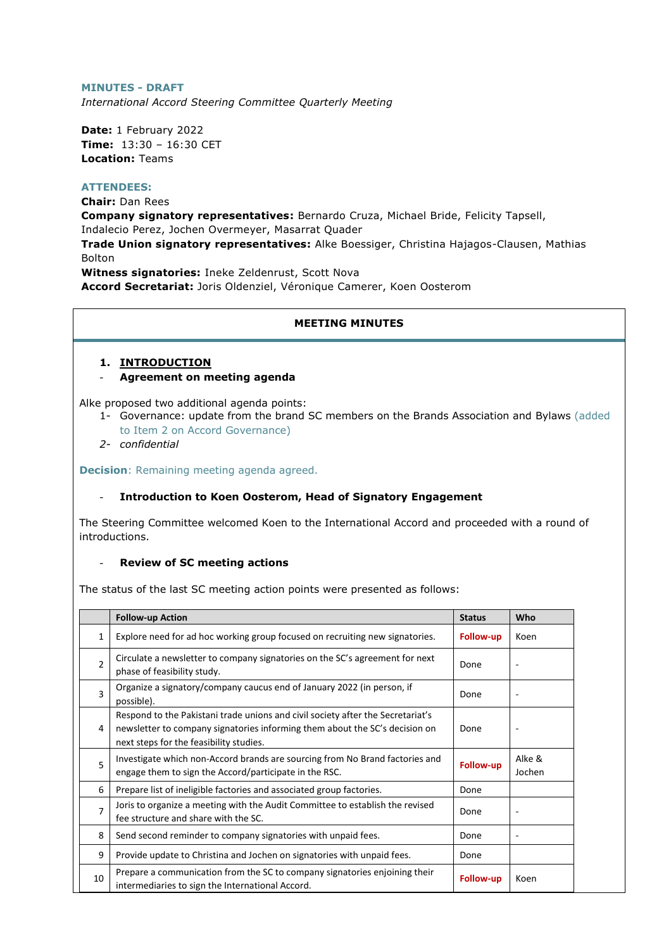### **MINUTES - DRAFT**

*International Accord Steering Committee Quarterly Meeting*

**Date:** 1 February 2022 **Time:** 13:30 – 16:30 CET **Location:** Teams

## **ATTENDEES:**

**Chair:** Dan Rees

**Company signatory representatives:** Bernardo Cruza, Michael Bride, Felicity Tapsell, Indalecio Perez, Jochen Overmeyer, Masarrat Quader

**Trade Union signatory representatives:** Alke Boessiger, Christina Hajagos-Clausen, Mathias Bolton

**Witness signatories:** Ineke Zeldenrust, Scott Nova **Accord Secretariat:** Joris Oldenziel, Véronique Camerer, Koen Oosterom

#### **MEETING MINUTES**

## **1. INTRODUCTION**

#### - **Agreement on meeting agenda**

Alke proposed two additional agenda points:

- 1- Governance: update from the brand SC members on the Brands Association and Bylaws (added to Item 2 on Accord Governance)
- *2- confidential*

**Decision**: Remaining meeting agenda agreed.

#### - **Introduction to Koen Oosterom, Head of Signatory Engagement**

The Steering Committee welcomed Koen to the International Accord and proceeded with a round of introductions.

#### **Review of SC meeting actions**

The status of the last SC meeting action points were presented as follows:

|                | <b>Follow-up Action</b>                                                                                                                                                                                   | <b>Status</b>    | Who                      |
|----------------|-----------------------------------------------------------------------------------------------------------------------------------------------------------------------------------------------------------|------------------|--------------------------|
| 1              | Explore need for ad hoc working group focused on recruiting new signatories.                                                                                                                              | <b>Follow-up</b> | Koen                     |
| $\mathcal{P}$  | Circulate a newsletter to company signatories on the SC's agreement for next<br>phase of feasibility study.                                                                                               | Done             | $\blacksquare$           |
| $\overline{3}$ | Organize a signatory/company caucus end of January 2022 (in person, if<br>possible).                                                                                                                      | Done             | $\overline{\phantom{a}}$ |
| 4              | Respond to the Pakistani trade unions and civil society after the Secretariat's<br>newsletter to company signatories informing them about the SC's decision on<br>next steps for the feasibility studies. | Done             | $\overline{\phantom{a}}$ |
| 5              | Investigate which non-Accord brands are sourcing from No Brand factories and<br>engage them to sign the Accord/participate in the RSC.                                                                    | <b>Follow-up</b> | Alke &<br>Jochen         |
| 6              | Prepare list of ineligible factories and associated group factories.                                                                                                                                      | Done             |                          |
| $\overline{7}$ | Joris to organize a meeting with the Audit Committee to establish the revised<br>fee structure and share with the SC.                                                                                     | Done             |                          |
| 8              | Send second reminder to company signatories with unpaid fees.                                                                                                                                             | Done             |                          |
| 9              | Provide update to Christina and Jochen on signatories with unpaid fees.                                                                                                                                   | Done             |                          |
| 10             | Prepare a communication from the SC to company signatories enjoining their<br>intermediaries to sign the International Accord.                                                                            | <b>Follow-up</b> | Koen                     |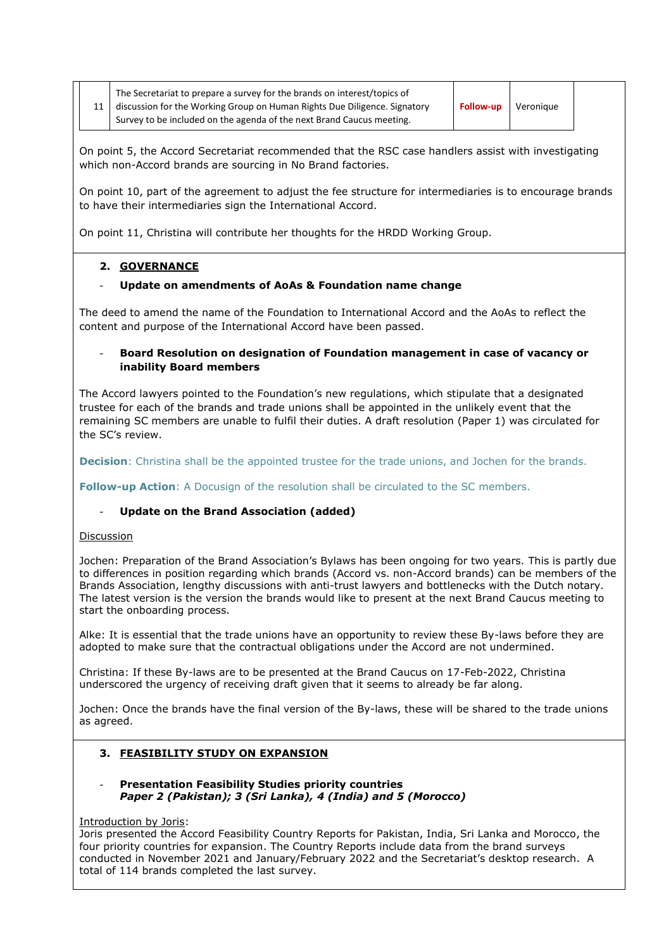| The Secretariat to prepare a survey for the brands on interest/topics of  |                  |           |  |
|---------------------------------------------------------------------------|------------------|-----------|--|
| discussion for the Working Group on Human Rights Due Diligence. Signatory | <b>Follow-up</b> | Veronique |  |
| Survey to be included on the agenda of the next Brand Caucus meeting.     |                  |           |  |

On point 5, the Accord Secretariat recommended that the RSC case handlers assist with investigating which non-Accord brands are sourcing in No Brand factories.

On point 10, part of the agreement to adjust the fee structure for intermediaries is to encourage brands to have their intermediaries sign the International Accord.

On point 11, Christina will contribute her thoughts for the HRDD Working Group.

## **2. GOVERNANCE**

## - **Update on amendments of AoAs & Foundation name change**

The deed to amend the name of the Foundation to International Accord and the AoAs to reflect the content and purpose of the International Accord have been passed.

## - **Board Resolution on designation of Foundation management in case of vacancy or inability Board members**

The Accord lawyers pointed to the Foundation's new regulations, which stipulate that a designated trustee for each of the brands and trade unions shall be appointed in the unlikely event that the remaining SC members are unable to fulfil their duties. A draft resolution (Paper 1) was circulated for the SC's review.

**Decision**: Christina shall be the appointed trustee for the trade unions, and Jochen for the brands.

**Follow-up Action:** A Docusign of the resolution shall be circulated to the SC members.

## - **Update on the Brand Association (added)**

## Discussion

Jochen: Preparation of the Brand Association's Bylaws has been ongoing for two years. This is partly due to differences in position regarding which brands (Accord vs. non-Accord brands) can be members of the Brands Association, lengthy discussions with anti-trust lawyers and bottlenecks with the Dutch notary. The latest version is the version the brands would like to present at the next Brand Caucus meeting to start the onboarding process.

Alke: It is essential that the trade unions have an opportunity to review these By-laws before they are adopted to make sure that the contractual obligations under the Accord are not undermined.

Christina: If these By-laws are to be presented at the Brand Caucus on 17-Feb-2022, Christina underscored the urgency of receiving draft given that it seems to already be far along.

Jochen: Once the brands have the final version of the By-laws, these will be shared to the trade unions as agreed.

## **3. FEASIBILITY STUDY ON EXPANSION**

## - **Presentation Feasibility Studies priority countries** *Paper 2 (Pakistan); 3 (Sri Lanka), 4 (India) and 5 (Morocco)*

## Introduction by Joris:

Joris presented the Accord Feasibility Country Reports for Pakistan, India, Sri Lanka and Morocco, the four priority countries for expansion. The Country Reports include data from the brand surveys conducted in November 2021 and January/February 2022 and the Secretariat's desktop research. A total of 114 brands completed the last survey.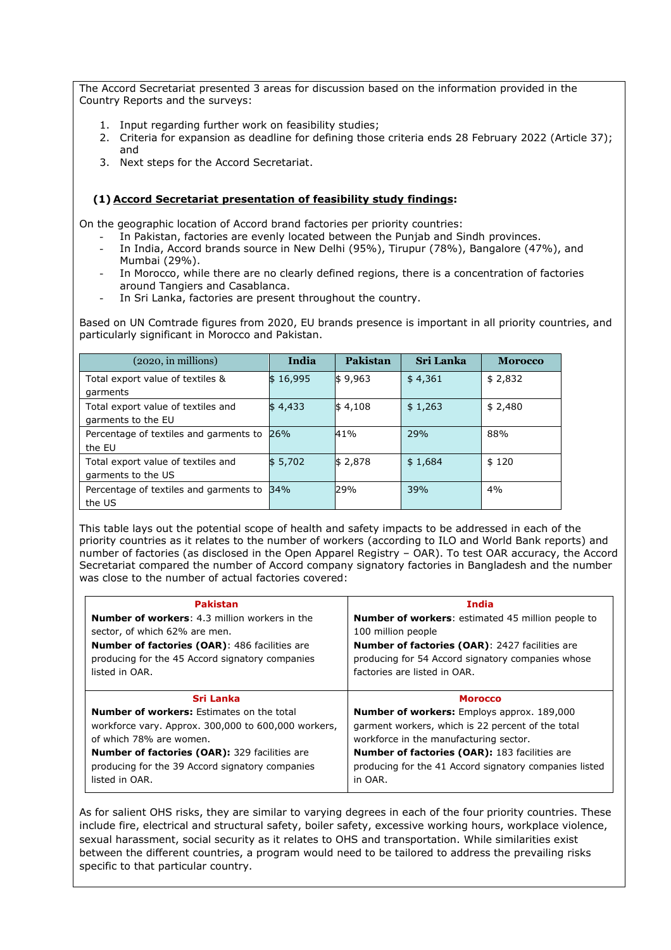The Accord Secretariat presented 3 areas for discussion based on the information provided in the Country Reports and the surveys:

- 1. Input regarding further work on feasibility studies;
- 2. Criteria for expansion as deadline for defining those criteria ends 28 February 2022 (Article 37); and
- 3. Next steps for the Accord Secretariat.

## **(1) Accord Secretariat presentation of feasibility study findings:**

On the geographic location of Accord brand factories per priority countries:

- In Pakistan, factories are evenly located between the Punjab and Sindh provinces.
- In India, Accord brands source in New Delhi (95%), Tirupur (78%), Bangalore (47%), and Mumbai (29%).
- In Morocco, while there are no clearly defined regions, there is a concentration of factories around Tangiers and Casablanca.
- In Sri Lanka, factories are present throughout the country.

Based on UN Comtrade figures from 2020, EU brands presence is important in all priority countries, and particularly significant in Morocco and Pakistan.

| $(2020, \text{in millions})$           | India    | Pakistan            | <b>Sri Lanka</b> | <b>Morocco</b> |
|----------------------------------------|----------|---------------------|------------------|----------------|
| Total export value of textiles &       | \$16,995 | $\frac{1}{9.963}$   | \$4,361          | \$2,832        |
| garments                               |          |                     |                  |                |
| Total export value of textiles and     | \$4,433  | $\frac{1}{9}$ 4,108 | \$1,263          | \$2,480        |
| garments to the EU                     |          |                     |                  |                |
| Percentage of textiles and garments to | 26%      | 41%                 | 29%              | 88%            |
| the EU                                 |          |                     |                  |                |
| Total export value of textiles and     | \$5,702  | \$2,878             | \$1,684          | \$120          |
| garments to the US                     |          |                     |                  |                |
| Percentage of textiles and garments to | 34%      | 29%                 | 39%              | 4%             |
| the US                                 |          |                     |                  |                |

This table lays out the potential scope of health and safety impacts to be addressed in each of the priority countries as it relates to the number of workers (according to ILO and World Bank reports) and number of factories (as disclosed in the Open Apparel Registry – OAR). To test OAR accuracy, the Accord Secretariat compared the number of Accord company signatory factories in Bangladesh and the number was close to the number of actual factories covered:

| <b>Pakistan</b>                                      | India                                                    |
|------------------------------------------------------|----------------------------------------------------------|
| <b>Number of workers: 4.3 million workers in the</b> | <b>Number of workers:</b> estimated 45 million people to |
| sector, of which 62% are men.                        | 100 million people                                       |
| <b>Number of factories (OAR): 486 facilities are</b> | <b>Number of factories (OAR): 2427 facilities are</b>    |
| producing for the 45 Accord signatory companies      | producing for 54 Accord signatory companies whose        |
| listed in OAR.                                       | factories are listed in OAR.                             |
| Sri Lanka                                            | <b>Morocco</b>                                           |
| <b>Number of workers: Estimates on the total</b>     | <b>Number of workers:</b> Employs approx. 189,000        |
| workforce vary. Approx. 300,000 to 600,000 workers,  | garment workers, which is 22 percent of the total        |
| of which 78% are women.                              | workforce in the manufacturing sector.                   |
| <b>Number of factories (OAR):</b> 329 facilities are | <b>Number of factories (OAR): 183 facilities are</b>     |
| producing for the 39 Accord signatory companies      | producing for the 41 Accord signatory companies listed   |
| listed in OAR.                                       | in OAR.                                                  |

As for salient OHS risks, they are similar to varying degrees in each of the four priority countries. These include fire, electrical and structural safety, boiler safety, excessive working hours, workplace violence, sexual harassment, social security as it relates to OHS and transportation. While similarities exist between the different countries, a program would need to be tailored to address the prevailing risks specific to that particular country.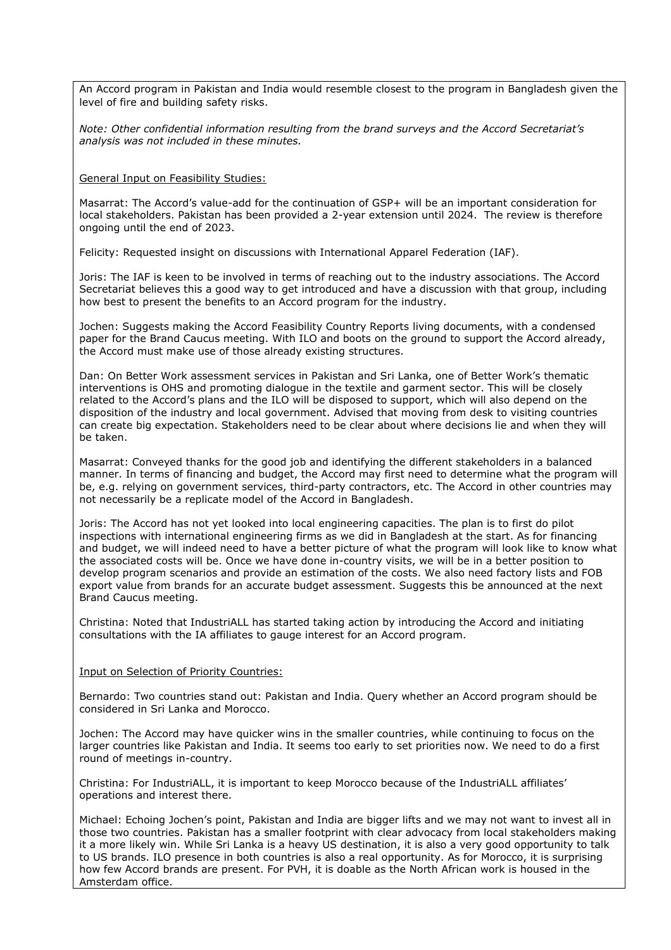An Accord program in Pakistan and India would resemble closest to the program in Bangladesh given the level of fire and building safety risks.

*Note: Other confidential information resulting from the brand surveys and the Accord Secretariat's analysis was not included in these minutes.* 

General Input on Feasibility Studies:

Masarrat: The Accord's value-add for the continuation of GSP+ will be an important consideration for local stakeholders. Pakistan has been provided a 2-year extension until 2024. The review is therefore ongoing until the end of 2023.

Felicity: Requested insight on discussions with International Apparel Federation (IAF).

Joris: The IAF is keen to be involved in terms of reaching out to the industry associations. The Accord Secretariat believes this a good way to get introduced and have a discussion with that group, including how best to present the benefits to an Accord program for the industry.

Jochen: Suggests making the Accord Feasibility Country Reports living documents, with a condensed paper for the Brand Caucus meeting. With ILO and boots on the ground to support the Accord already, the Accord must make use of those already existing structures.

Dan: On Better Work assessment services in Pakistan and Sri Lanka, one of Better Work's thematic interventions is OHS and promoting dialogue in the textile and garment sector. This will be closely related to the Accord's plans and the ILO will be disposed to support, which will also depend on the disposition of the industry and local government. Advised that moving from desk to visiting countries can create big expectation. Stakeholders need to be clear about where decisions lie and when they will be taken.

Masarrat: Conveyed thanks for the good job and identifying the different stakeholders in a balanced manner. In terms of financing and budget, the Accord may first need to determine what the program will be, e.g. relying on government services, third-party contractors, etc. The Accord in other countries may not necessarily be a replicate model of the Accord in Bangladesh.

Joris: The Accord has not yet looked into local engineering capacities. The plan is to first do pilot inspections with international engineering firms as we did in Bangladesh at the start. As for financing and budget, we will indeed need to have a better picture of what the program will look like to know what the associated costs will be. Once we have done in-country visits, we will be in a better position to develop program scenarios and provide an estimation of the costs. We also need factory lists and FOB export value from brands for an accurate budget assessment. Suggests this be announced at the next Brand Caucus meeting.

Christina: Noted that IndustriALL has started taking action by introducing the Accord and initiating consultations with the IA affiliates to gauge interest for an Accord program.

#### Input on Selection of Priority Countries:

Bernardo: Two countries stand out: Pakistan and India. Query whether an Accord program should be considered in Sri Lanka and Morocco.

Jochen: The Accord may have quicker wins in the smaller countries, while continuing to focus on the larger countries like Pakistan and India. It seems too early to set priorities now. We need to do a first round of meetings in-country.

Christina: For IndustriALL, it is important to keep Morocco because of the IndustriALL affiliates' operations and interest there.

Michael: Echoing Jochen's point, Pakistan and India are bigger lifts and we may not want to invest all in those two countries. Pakistan has a smaller footprint with clear advocacy from local stakeholders making it a more likely win. While Sri Lanka is a heavy US destination, it is also a very good opportunity to talk to US brands. ILO presence in both countries is also a real opportunity. As for Morocco, it is surprising how few Accord brands are present. For PVH, it is doable as the North African work is housed in the Amsterdam office.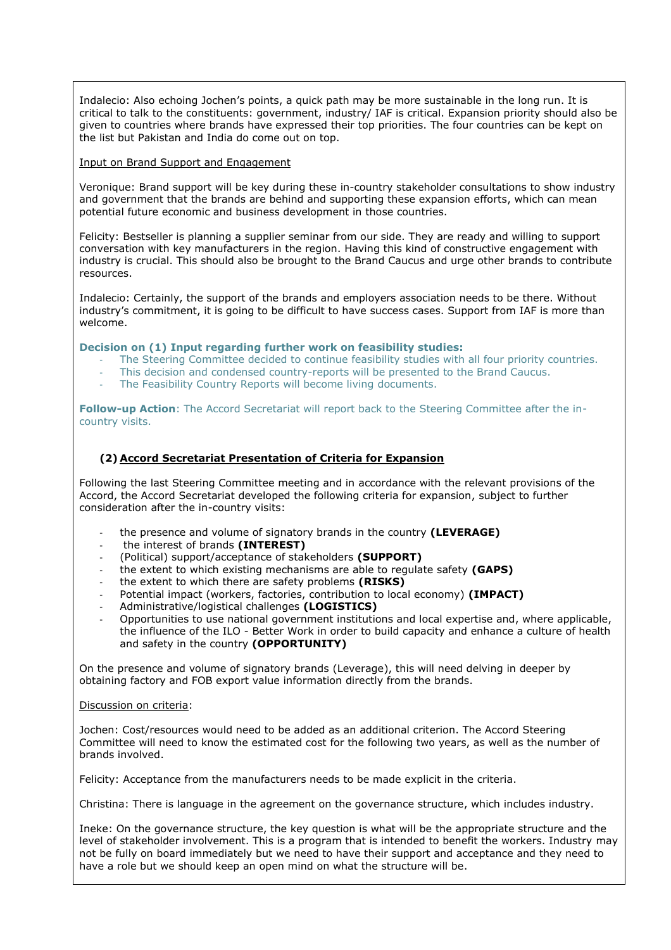Indalecio: Also echoing Jochen's points, a quick path may be more sustainable in the long run. It is critical to talk to the constituents: government, industry/ IAF is critical. Expansion priority should also be given to countries where brands have expressed their top priorities. The four countries can be kept on the list but Pakistan and India do come out on top.

## Input on Brand Support and Engagement

Veronique: Brand support will be key during these in-country stakeholder consultations to show industry and government that the brands are behind and supporting these expansion efforts, which can mean potential future economic and business development in those countries.

Felicity: Bestseller is planning a supplier seminar from our side. They are ready and willing to support conversation with key manufacturers in the region. Having this kind of constructive engagement with industry is crucial. This should also be brought to the Brand Caucus and urge other brands to contribute resources.

Indalecio: Certainly, the support of the brands and employers association needs to be there. Without industry's commitment, it is going to be difficult to have success cases. Support from IAF is more than welcome.

## **Decision on (1) Input regarding further work on feasibility studies:**

- The Steering Committee decided to continue feasibility studies with all four priority countries.
- This decision and condensed country-reports will be presented to the Brand Caucus.
- The Feasibility Country Reports will become living documents.

**Follow-up Action**: The Accord Secretariat will report back to the Steering Committee after the incountry visits.

## **(2) Accord Secretariat Presentation of Criteria for Expansion**

Following the last Steering Committee meeting and in accordance with the relevant provisions of the Accord, the Accord Secretariat developed the following criteria for expansion, subject to further consideration after the in-country visits:

- the presence and volume of signatory brands in the country **(LEVERAGE)**
- the interest of brands **(INTEREST)**
- (Political) support/acceptance of stakeholders **(SUPPORT)**
- the extent to which existing mechanisms are able to regulate safety **(GAPS)**
- the extent to which there are safety problems **(RISKS)**
- Potential impact (workers, factories, contribution to local economy) **(IMPACT)**
- Administrative/logistical challenges **(LOGISTICS)**
- Opportunities to use national government institutions and local expertise and, where applicable, the influence of the ILO - Better Work in order to build capacity and enhance a culture of health and safety in the country **(OPPORTUNITY)**

On the presence and volume of signatory brands (Leverage), this will need delving in deeper by obtaining factory and FOB export value information directly from the brands.

#### Discussion on criteria:

Jochen: Cost/resources would need to be added as an additional criterion. The Accord Steering Committee will need to know the estimated cost for the following two years, as well as the number of brands involved.

Felicity: Acceptance from the manufacturers needs to be made explicit in the criteria.

Christina: There is language in the agreement on the governance structure, which includes industry.

Ineke: On the governance structure, the key question is what will be the appropriate structure and the level of stakeholder involvement. This is a program that is intended to benefit the workers. Industry may not be fully on board immediately but we need to have their support and acceptance and they need to have a role but we should keep an open mind on what the structure will be.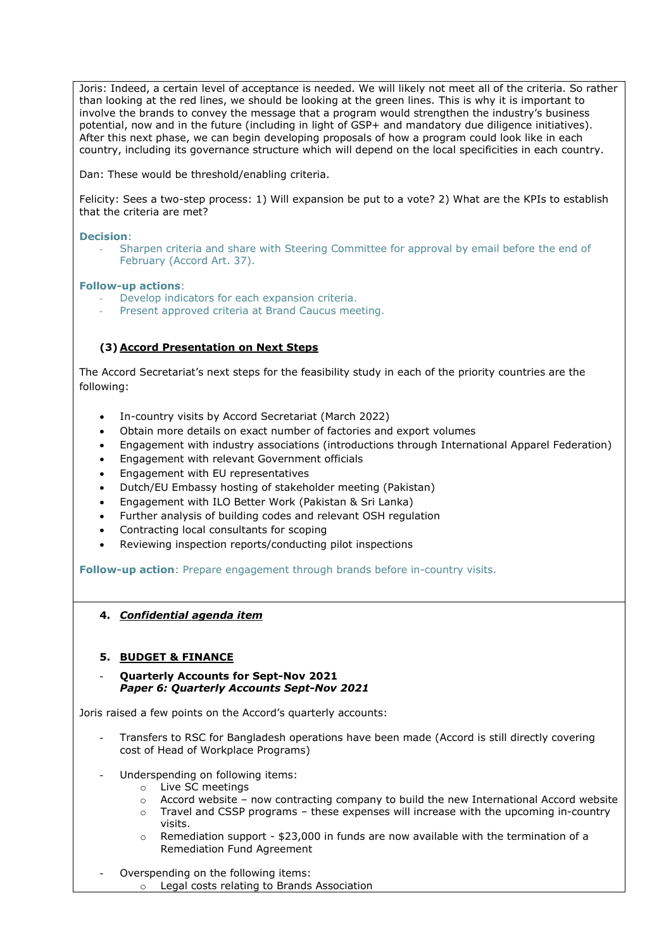Joris: Indeed, a certain level of acceptance is needed. We will likely not meet all of the criteria. So rather than looking at the red lines, we should be looking at the green lines. This is why it is important to involve the brands to convey the message that a program would strengthen the industry's business potential, now and in the future (including in light of GSP+ and mandatory due diligence initiatives). After this next phase, we can begin developing proposals of how a program could look like in each country, including its governance structure which will depend on the local specificities in each country.

Dan: These would be threshold/enabling criteria.

Felicity: Sees a two-step process: 1) Will expansion be put to a vote? 2) What are the KPIs to establish that the criteria are met?

### **Decision**:

Sharpen criteria and share with Steering Committee for approval by email before the end of February (Accord Art. 37).

## **Follow-up actions**:

- Develop indicators for each expansion criteria.
- Present approved criteria at Brand Caucus meeting.

## **(3) Accord Presentation on Next Steps**

The Accord Secretariat's next steps for the feasibility study in each of the priority countries are the following:

- In-country visits by Accord Secretariat (March 2022)
- Obtain more details on exact number of factories and export volumes
- Engagement with industry associations (introductions through International Apparel Federation)
- Engagement with relevant Government officials
- Engagement with EU representatives
- Dutch/EU Embassy hosting of stakeholder meeting (Pakistan)
- Engagement with ILO Better Work (Pakistan & Sri Lanka)
- Further analysis of building codes and relevant OSH regulation
- Contracting local consultants for scoping
- Reviewing inspection reports/conducting pilot inspections

**Follow-up action**: Prepare engagement through brands before in-country visits.

**4.** *Confidential agenda item*

## **5. BUDGET & FINANCE**

- **Quarterly Accounts for Sept-Nov 2021** *Paper 6: Quarterly Accounts Sept-Nov 2021*

Joris raised a few points on the Accord's quarterly accounts:

- Transfers to RSC for Bangladesh operations have been made (Accord is still directly covering cost of Head of Workplace Programs)
- Underspending on following items:
	- o Live SC meetings
	- o Accord website now contracting company to build the new International Accord website
	- $\circ$  Travel and CSSP programs these expenses will increase with the upcoming in-country visits.
	- $\circ$  Remediation support \$23,000 in funds are now available with the termination of a Remediation Fund Agreement
- Overspending on the following items: o Legal costs relating to Brands Association